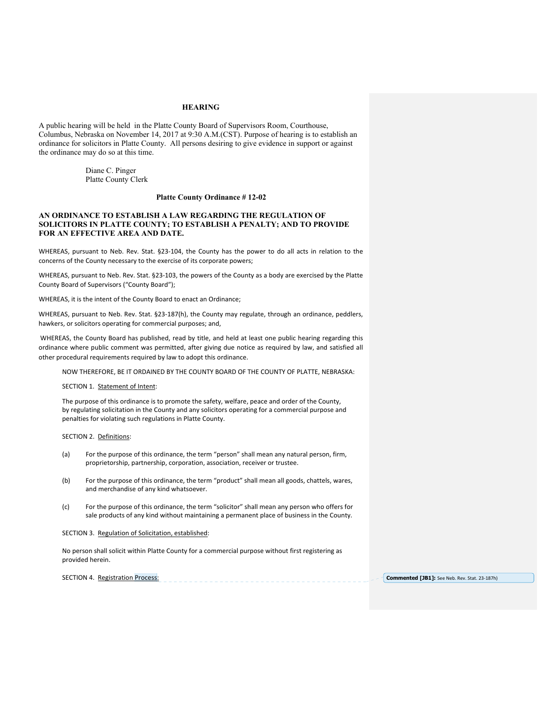# **HEARING**

A public hearing will be held in the Platte County Board of Supervisors Room, Courthouse, Columbus, Nebraska on November 14, 2017 at 9:30 A.M.(CST). Purpose of hearing is to establish an ordinance for solicitors in Platte County. All persons desiring to give evidence in support or against the ordinance may do so at this time.

> Diane C. Pinger Platte County Clerk

# **Platte County Ordinance # 12-02**

# **AN ORDINANCE TO ESTABLISH A LAW REGARDING THE REGULATION OF SOLICITORS IN PLATTE COUNTY; TO ESTABLISH A PENALTY; AND TO PROVIDE FOR AN EFFECTIVE AREA AND DATE.**

WHEREAS, pursuant to Neb. Rev. Stat. §23-104, the County has the power to do all acts in relation to the concerns of the County necessary to the exercise of its corporate powers;

WHEREAS, pursuant to Neb. Rev. Stat. §23-103, the powers of the County as a body are exercised by the Platte County Board of Supervisors ("County Board");

WHEREAS, it is the intent of the County Board to enact an Ordinance;

WHEREAS, pursuant to Neb. Rev. Stat. §23-187(h), the County may regulate, through an ordinance, peddlers, hawkers, or solicitors operating for commercial purposes; and,

 WHEREAS, the County Board has published, read by title, and held at least one public hearing regarding this ordinance where public comment was permitted, after giving due notice as required by law, and satisfied all other procedural requirements required by law to adopt this ordinance.

NOW THEREFORE, BE IT ORDAINED BY THE COUNTY BOARD OF THE COUNTY OF PLATTE, NEBRASKA:

SECTION 1. Statement of Intent:

The purpose of this ordinance is to promote the safety, welfare, peace and order of the County, by regulating solicitation in the County and any solicitors operating for a commercial purpose and penalties for violating such regulations in Platte County.

SECTION 2. Definitions:

- (a) For the purpose of this ordinance, the term "person" shall mean any natural person, firm, proprietorship, partnership, corporation, association, receiver or trustee.
- (b) For the purpose of this ordinance, the term "product" shall mean all goods, chattels, wares, and merchandise of any kind whatsoever.
- (c) For the purpose of this ordinance, the term "solicitor" shall mean any person who offers for sale products of any kind without maintaining a permanent place of business in the County.

#### SECTION 3. Regulation of Solicitation, established:

No person shall solicit within Platte County for a commercial purpose without first registering as provided herein.

SECTION 4. Registration Process: **Commented [JB1]:** See Neb. Rev. Stat. 23‐187h)